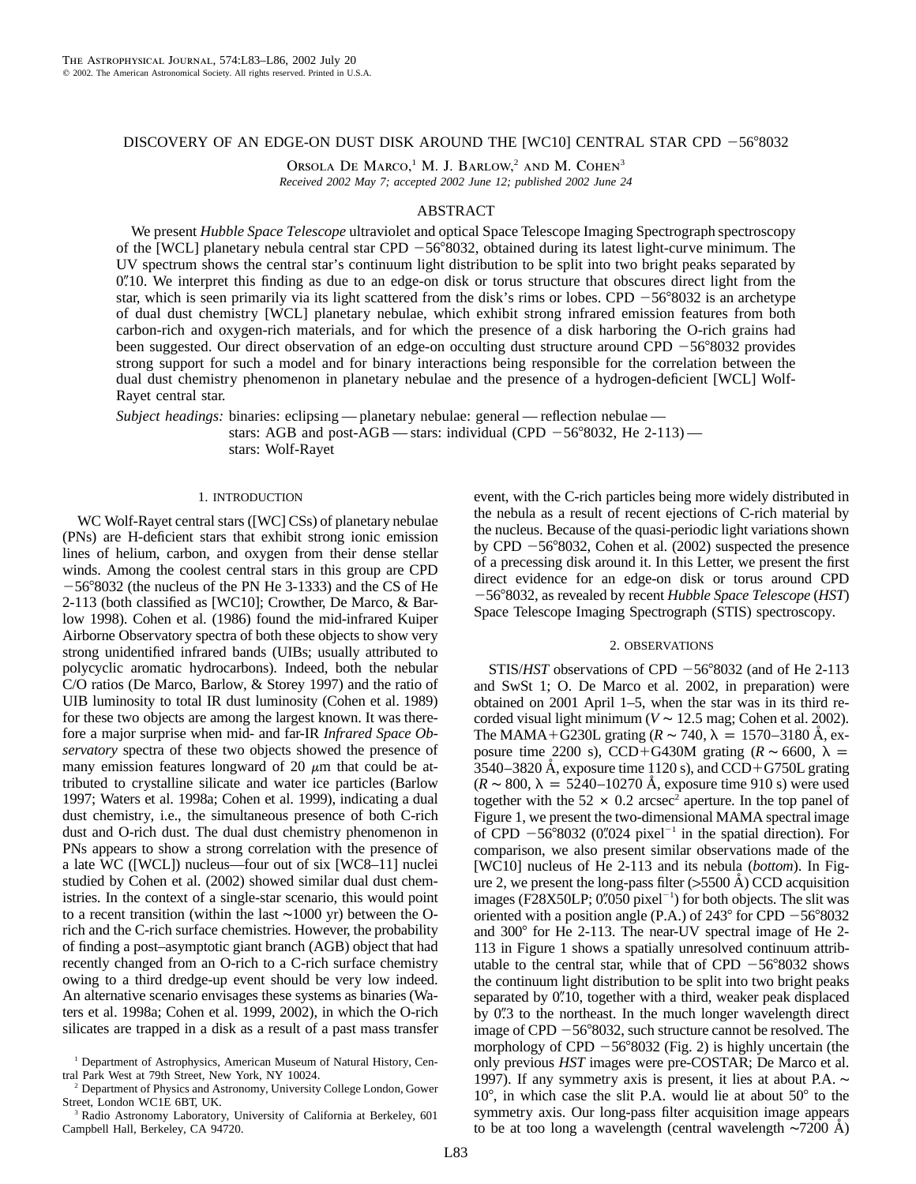# DISCOVERY OF AN EDGE-ON DUST DISK AROUND THE [WC10] CENTRAL STAR CPD  $-56°8032$

Orsola De Marco,<sup>1</sup> M. J. Barlow,<sup>2</sup> and M. Cohen<sup>3</sup> *Received 2002 May 7; accepted 2002 June 12; published 2002 June 24*

## ABSTRACT

We present *Hubble Space Telescope* ultraviolet and optical Space Telescope Imaging Spectrograph spectroscopy of the [WCL] planetary nebula central star CPD  $-56^{\circ}8032$ , obtained during its latest light-curve minimum. The UV spectrum shows the central star's continuum light distribution to be split into two bright peaks separated by 0.10. We interpret this finding as due to an edge-on disk or torus structure that obscures direct light from the star, which is seen primarily via its light scattered from the disk's rims or lobes. CPD  $-56°8032$  is an archetype of dual dust chemistry [WCL] planetary nebulae, which exhibit strong infrared emission features from both carbon-rich and oxygen-rich materials, and for which the presence of a disk harboring the O-rich grains had been suggested. Our direct observation of an edge-on occulting dust structure around CPD  $-56°8032$  provides strong support for such a model and for binary interactions being responsible for the correlation between the dual dust chemistry phenomenon in planetary nebulae and the presence of a hydrogen-deficient [WCL] Wolf-Rayet central star.

*Subject headings:* binaries: eclipsing — planetary nebulae: general — reflection nebulae stars: AGB and post-AGB — stars: individual (CPD  $-56^{\circ}8032$ , He 2-113) stars: Wolf-Rayet

### 1. INTRODUCTION

WC Wolf-Rayet central stars ([WC] CSs) of planetary nebulae (PNs) are H-deficient stars that exhibit strong ionic emission lines of helium, carbon, and oxygen from their dense stellar winds. Among the coolest central stars in this group are CPD 56-8032 (the nucleus of the PN He 3-1333) and the CS of He 2-113 (both classified as [WC10]; Crowther, De Marco, & Barlow 1998). Cohen et al. (1986) found the mid-infrared Kuiper Airborne Observatory spectra of both these objects to show very strong unidentified infrared bands (UIBs; usually attributed to polycyclic aromatic hydrocarbons). Indeed, both the nebular C/O ratios (De Marco, Barlow, & Storey 1997) and the ratio of UIB luminosity to total IR dust luminosity (Cohen et al. 1989) for these two objects are among the largest known. It was therefore a major surprise when mid- and far-IR *Infrared Space Observatory* spectra of these two objects showed the presence of many emission features longward of 20  $\mu$ m that could be attributed to crystalline silicate and water ice particles (Barlow 1997; Waters et al. 1998a; Cohen et al. 1999), indicating a dual dust chemistry, i.e., the simultaneous presence of both C-rich dust and O-rich dust. The dual dust chemistry phenomenon in PNs appears to show a strong correlation with the presence of a late WC ([WCL]) nucleus—four out of six [WC8–11] nuclei studied by Cohen et al. (2002) showed similar dual dust chemistries. In the context of a single-star scenario, this would point to a recent transition (within the last ∼1000 yr) between the Orich and the C-rich surface chemistries. However, the probability of finding a post–asymptotic giant branch (AGB) object that had recently changed from an O-rich to a C-rich surface chemistry owing to a third dredge-up event should be very low indeed. An alternative scenario envisages these systems as binaries (Waters et al. 1998a; Cohen et al. 1999, 2002), in which the O-rich silicates are trapped in a disk as a result of a past mass transfer

<sup>2</sup> Department of Physics and Astronomy, University College London, Gower Street, London WC1E 6BT, UK.

event, with the C-rich particles being more widely distributed in the nebula as a result of recent ejections of C-rich material by the nucleus. Because of the quasi-periodic light variations shown by CPD  $-56^{\circ}8032$ , Cohen et al. (2002) suspected the presence of a precessing disk around it. In this Letter, we present the first direct evidence for an edge-on disk or torus around CPD 56-8032, as revealed by recent *Hubble Space Telescope* (*HST*) Space Telescope Imaging Spectrograph (STIS) spectroscopy.

#### 2. OBSERVATIONS

 $STIS/HST$  observations of CPD  $-56^{\circ}8032$  (and of He 2-113 and SwSt 1; O. De Marco et al. 2002, in preparation) were obtained on 2001 April 1–5, when the star was in its third recorded visual light minimum ( $V \sim 12.5$  mag; Cohen et al. 2002). The MAMA+G230L grating ( $R \sim 740$ ,  $\lambda = 1570-3180$  Å, exposure time 2200 s), CCD+G430M grating ( $R \sim 6600$ ,  $\lambda =$  $3540 - 3820$  Å, exposure time 1120 s), and CCD+G750L grating  $(R \sim 800, \lambda = 5240 - 10270$  Å, exposure time 910 s) were used together with the  $52 \times 0.2$  arcsec<sup>2</sup> aperture. In the top panel of Figure 1, we present the two-dimensional MAMA spectral image of CPD  $-56^{\circ}8032$  (0.''024 pixel<sup>-1</sup> in the spatial direction). For comparison, we also present similar observations made of the [WC10] nucleus of He 2-113 and its nebula (*bottom*). In Figure 2, we present the long-pass filter  $(5500 \text{ A})$  CCD acquisition images (F28X50LP;  $0\rlap{.}''$ 050 pixel<sup>-1</sup>) for both objects. The slit was oriented with a position angle (P.A.) of  $243^{\circ}$  for CPD  $-56^{\circ}8032$ and 300° for He 2-113. The near-UV spectral image of He 2-113 in Figure 1 shows a spatially unresolved continuum attributable to the central star, while that of CPD  $-56^{\circ}8032$  shows the continuum light distribution to be split into two bright peaks separated by  $0''10$ , together with a third, weaker peak displaced by 0.<sup>7</sup>3 to the northeast. In the much longer wavelength direct image of CPD  $-56°8032$ , such structure cannot be resolved. The morphology of CPD  $-56^{\circ}8032$  (Fig. 2) is highly uncertain (the only previous *HST* images were pre-COSTAR; De Marco et al. 1997). If any symmetry axis is present, it lies at about P.A. ∼  $10^{\circ}$ , in which case the slit P.A. would lie at about  $50^{\circ}$  to the symmetry axis. Our long-pass filter acquisition image appears to be at too long a wavelength (central wavelength  $\sim$ 7200 Å)

<sup>&</sup>lt;sup>1</sup> Department of Astrophysics, American Museum of Natural History, Central Park West at 79th Street, New York, NY 10024.

<sup>3</sup> Radio Astronomy Laboratory, University of California at Berkeley, 601 Campbell Hall, Berkeley, CA 94720.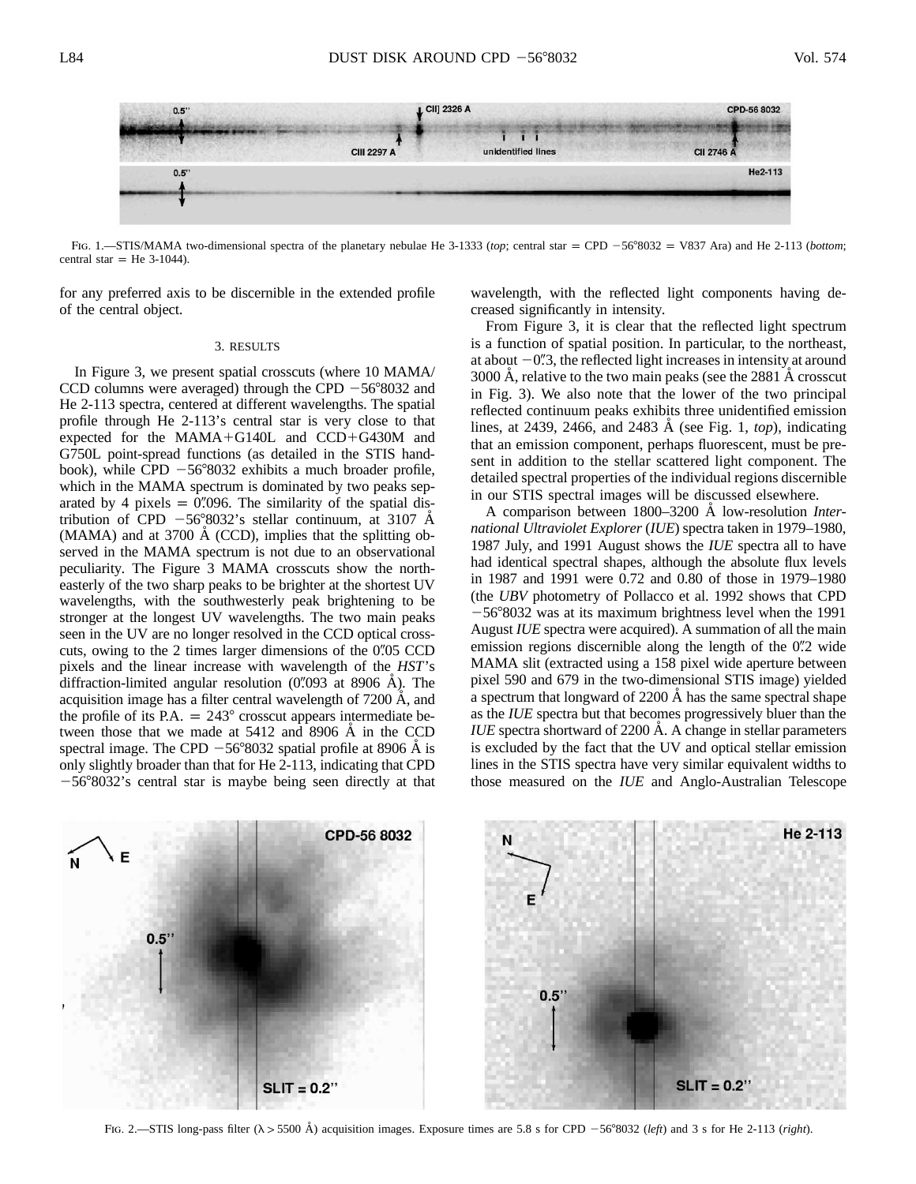CII] 2326 A  $0.5$ CPD-56 8032 CII 2746 A **CIII 2297 A** unidentified lines  $0.5^{\circ}$ He2-113

Fig. 1.—STIS/MAMA two-dimensional spectra of the planetary nebulae He 3-1333 (top; central star = CPD -56°8032 = V837 Ara) and He 2-113 (*bottom*; central star = He  $3-1044$ ).

for any preferred axis to be discernible in the extended profile of the central object.

#### 3. RESULTS

In Figure 3, we present spatial crosscuts (where 10 MAMA/ CCD columns were averaged) through the CPD  $-56^{\circ}8032$  and He 2-113 spectra, centered at different wavelengths. The spatial profile through He 2-113's central star is very close to that expected for the MAMA-G140L and CCD-G430M and G750L point-spread functions (as detailed in the STIS handbook), while CPD  $-56^{\circ}8032$  exhibits a much broader profile, which in the MAMA spectrum is dominated by two peaks separated by 4 pixels  $= 0\degree{0.096}$ . The similarity of the spatial distribution of CPD  $-56^{\circ}8032$ 's stellar continuum, at 3107 Å  $(MAMA)$  and at 3700 Å  $(CCD)$ , implies that the splitting observed in the MAMA spectrum is not due to an observational peculiarity. The Figure 3 MAMA crosscuts show the northeasterly of the two sharp peaks to be brighter at the shortest UV wavelengths, with the southwesterly peak brightening to be stronger at the longest UV wavelengths. The two main peaks seen in the UV are no longer resolved in the CCD optical crosscuts, owing to the  $2$  times larger dimensions of the  $0\degree 05$  CCD pixels and the linear increase with wavelength of the *HST*'s diffraction-limited angular resolution  $(0\text{\textdegree}093$  at 8906 Å). The acquisition image has a filter central wavelength of  $7200 \text{ Å}$ , and the profile of its P.A.  $= 243^{\circ}$  crosscut appears intermediate between those that we made at  $5412$  and  $8906$  Å in the CCD spectral image. The CPD  $-56^{\circ}8032$  spatial profile at 8906 Å is only slightly broader than that for He 2-113, indicating that CPD 56-8032's central star is maybe being seen directly at that

wavelength, with the reflected light components having decreased significantly in intensity.

From Figure 3, it is clear that the reflected light spectrum is a function of spatial position. In particular, to the northeast, at about  $-0$ . The reflected light increases in intensity at around 3000 A, relative to the two main peaks (see the 2881 A crosscut in Fig. 3). We also note that the lower of the two principal reflected continuum peaks exhibits three unidentified emission lines, at 2439, 2466, and 2483 A (see Fig. 1, *top*), indicating that an emission component, perhaps fluorescent, must be present in addition to the stellar scattered light component. The detailed spectral properties of the individual regions discernible in our STIS spectral images will be discussed elsewhere.

A comparison between 1800–3200 A low-resolution *International Ultraviolet Explorer* (*IUE*) spectra taken in 1979–1980, 1987 July, and 1991 August shows the *IUE* spectra all to have had identical spectral shapes, although the absolute flux levels in 1987 and 1991 were 0.72 and 0.80 of those in 1979–1980 (the *UBV* photometry of Pollacco et al. 1992 shows that CPD  $-56°8032$  was at its maximum brightness level when the 1991 August *IUE* spectra were acquired). A summation of all the main emission regions discernible along the length of the 0. 2 wide MAMA slit (extracted using a 158 pixel wide aperture between pixel 590 and 679 in the two-dimensional STIS image) yielded a spectrum that longward of 2200 Å has the same spectral shape as the *IUE* spectra but that becomes progressively bluer than the *IUE* spectra shortward of 2200 Å. A change in stellar parameters is excluded by the fact that the UV and optical stellar emission lines in the STIS spectra have very similar equivalent widths to those measured on the *IUE* and Anglo-Australian Telescope



Fig. 2.—STIS long-pass filter  $(\lambda > 5500 \text{ Å})$  acquisition images. Exposure times are 5.8 s for CPD  $-56^{\circ}8032$  (*left*) and 3 s for He 2-113 (*right*).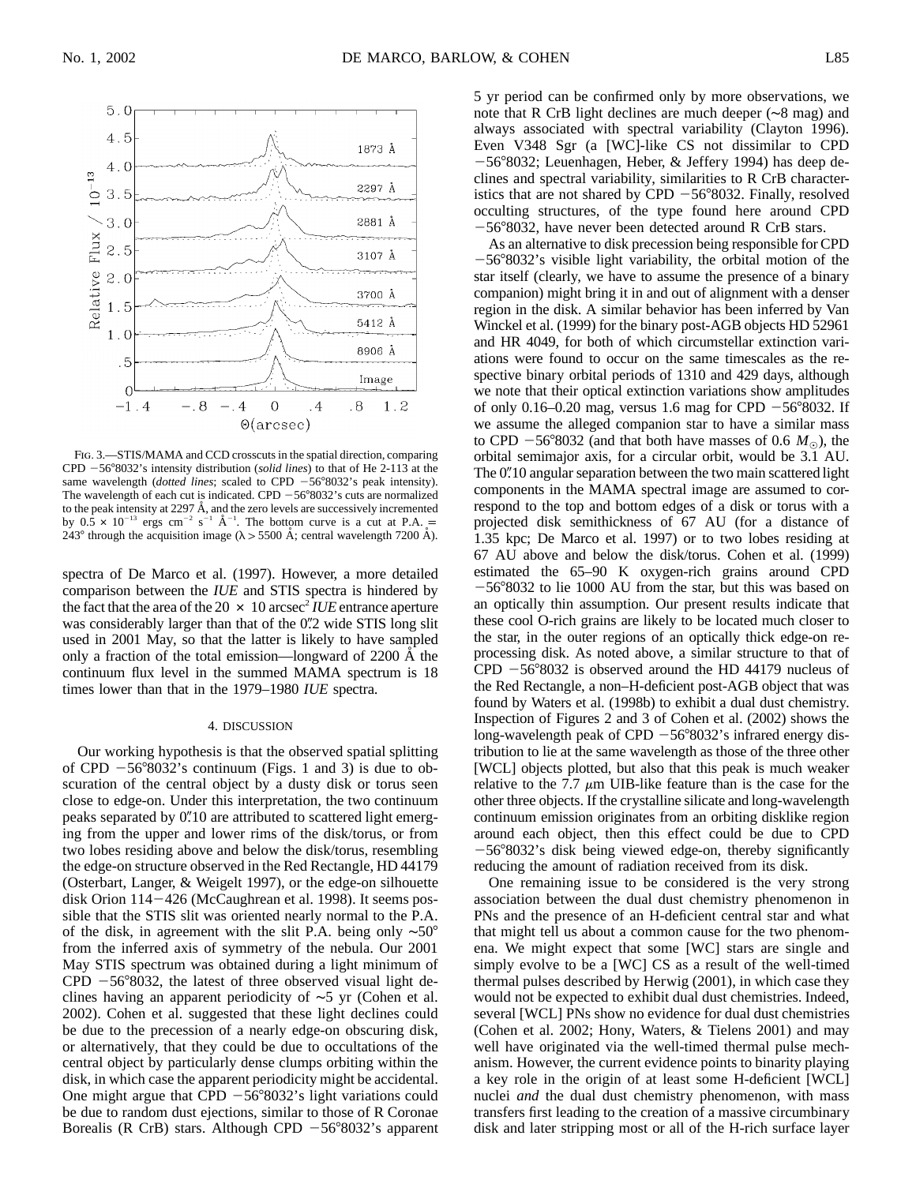

Fig. 3.—STIS/MAMA and CCD crosscuts in the spatial direction, comparing CPD 56-8032's intensity distribution (*solid lines*) to that of He 2-113 at the same wavelength (*dotted lines*; scaled to CPD  $-56^{\circ}8032$ 's peak intensity). The wavelength of each cut is indicated. CPD  $-56^{\circ}8032$ 's cuts are normalized to the peak intensity at 2297  $\AA$ , and the zero levels are successively incremented by  $0.\overline{5} \times 10^{-13}$  ergs cm<sup>-2</sup> s<sup>-1</sup> Å<sup>-1</sup>. The bottom curve is a cut at P.A. = 243° through the acquisition image ( $\lambda > 5500$  Å; central wavelength 7200 Å).

spectra of De Marco et al. (1997). However, a more detailed comparison between the *IUE* and STIS spectra is hindered by the fact that the area of the  $20 \times 10$  arcsec<sup>2</sup> *IUE* entrance aperture was considerably larger than that of the 0. 2 wide STIS long slit used in 2001 May, so that the latter is likely to have sampled only a fraction of the total emission—longward of 2200 Å the continuum flux level in the summed MAMA spectrum is 18 times lower than that in the 1979–1980 *IUE* spectra.

## 4. DISCUSSION

Our working hypothesis is that the observed spatial splitting of CPD  $-56^{\circ}8032$ 's continuum (Figs. 1 and 3) is due to obscuration of the central object by a dusty disk or torus seen close to edge-on. Under this interpretation, the two continuum peaks separated by  $0''$ 10 are attributed to scattered light emerging from the upper and lower rims of the disk/torus, or from two lobes residing above and below the disk/torus, resembling the edge-on structure observed in the Red Rectangle, HD 44179 (Osterbart, Langer, & Weigelt 1997), or the edge-on silhouette disk Orion 114-426 (McCaughrean et al. 1998). It seems possible that the STIS slit was oriented nearly normal to the P.A. of the disk, in agreement with the slit P.A. being only ∼50 from the inferred axis of symmetry of the nebula. Our 2001 May STIS spectrum was obtained during a light minimum of  $CPD - 56°8032$ , the latest of three observed visual light declines having an apparent periodicity of ∼5 yr (Cohen et al. 2002). Cohen et al. suggested that these light declines could be due to the precession of a nearly edge-on obscuring disk, or alternatively, that they could be due to occultations of the central object by particularly dense clumps orbiting within the disk, in which case the apparent periodicity might be accidental. One might argue that CPD  $-56^{\circ}8032$ 's light variations could be due to random dust ejections, similar to those of R Coronae Borealis (R CrB) stars. Although CPD  $-56^{\circ}8032$ 's apparent 5 yr period can be confirmed only by more observations, we note that R CrB light declines are much deeper (∼8 mag) and always associated with spectral variability (Clayton 1996). Even V348 Sgr (a [WC]-like CS not dissimilar to CPD -56°8032; Leuenhagen, Heber, & Jeffery 1994) has deep declines and spectral variability, similarities to R CrB characteristics that are not shared by CPD  $-56^{\circ}8032$ . Finally, resolved occulting structures, of the type found here around CPD -56°8032, have never been detected around R CrB stars.

As an alternative to disk precession being responsible for CPD  $-56^{\circ}8032$ 's visible light variability, the orbital motion of the star itself (clearly, we have to assume the presence of a binary companion) might bring it in and out of alignment with a denser region in the disk. A similar behavior has been inferred by Van Winckel et al. (1999) for the binary post-AGB objects HD 52961 and HR 4049, for both of which circumstellar extinction variations were found to occur on the same timescales as the respective binary orbital periods of 1310 and 429 days, although we note that their optical extinction variations show amplitudes of only 0.16–0.20 mag, versus 1.6 mag for CPD  $-56^{\circ}8032$ . If we assume the alleged companion star to have a similar mass to CPD  $-56^{\circ}8032$  (and that both have masses of 0.6  $M_{\odot}$ ), the orbital semimajor axis, for a circular orbit, would be 3.1 AU. The 0.10 angular separation between the two main scattered light components in the MAMA spectral image are assumed to correspond to the top and bottom edges of a disk or torus with a projected disk semithickness of 67 AU (for a distance of 1.35 kpc; De Marco et al. 1997) or to two lobes residing at 67 AU above and below the disk/torus. Cohen et al. (1999) estimated the 65–90 K oxygen-rich grains around CPD 56-8032 to lie 1000 AU from the star, but this was based on an optically thin assumption. Our present results indicate that these cool O-rich grains are likely to be located much closer to the star, in the outer regions of an optically thick edge-on reprocessing disk. As noted above, a similar structure to that of  $CPD - 56°8032$  is observed around the HD 44179 nucleus of the Red Rectangle, a non–H-deficient post-AGB object that was found by Waters et al. (1998b) to exhibit a dual dust chemistry. Inspection of Figures 2 and 3 of Cohen et al. (2002) shows the long-wavelength peak of CPD  $-56^{\circ}8032$ 's infrared energy distribution to lie at the same wavelength as those of the three other [WCL] objects plotted, but also that this peak is much weaker relative to the 7.7  $\mu$ m UIB-like feature than is the case for the other three objects. If the crystalline silicate and long-wavelength continuum emission originates from an orbiting disklike region around each object, then this effect could be due to CPD  $-56^{\circ}8032$ 's disk being viewed edge-on, thereby significantly reducing the amount of radiation received from its disk.

One remaining issue to be considered is the very strong association between the dual dust chemistry phenomenon in PNs and the presence of an H-deficient central star and what that might tell us about a common cause for the two phenomena. We might expect that some [WC] stars are single and simply evolve to be a [WC] CS as a result of the well-timed thermal pulses described by Herwig (2001), in which case they would not be expected to exhibit dual dust chemistries. Indeed, several [WCL] PNs show no evidence for dual dust chemistries (Cohen et al. 2002; Hony, Waters, & Tielens 2001) and may well have originated via the well-timed thermal pulse mechanism. However, the current evidence points to binarity playing a key role in the origin of at least some H-deficient [WCL] nuclei *and* the dual dust chemistry phenomenon, with mass transfers first leading to the creation of a massive circumbinary disk and later stripping most or all of the H-rich surface layer